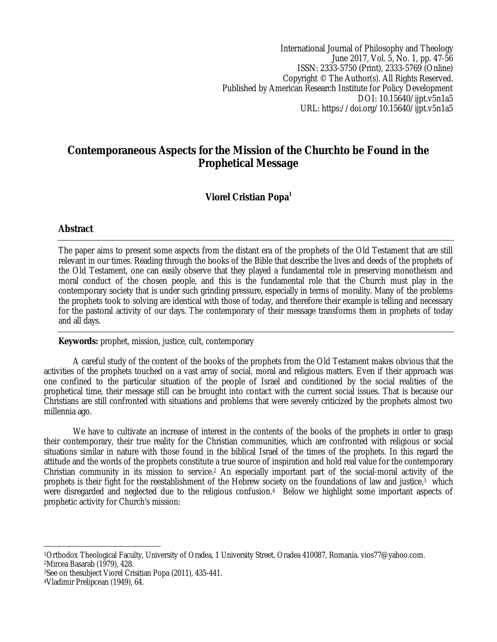International Journal of Philosophy and Theology June 2017, Vol. 5, No. 1, pp. 47-56 ISSN: 2333-5750 (Print), 2333-5769 (Online) Copyright © The Author(s). All Rights Reserved. Published by American Research Institute for Policy Development DOI: 10.15640/ijpt.v5n1a5 URL: https://doi.org/10.15640/ijpt.v5n1a5

# **Contemporaneous Aspects for the Mission of the Churchto be Found in the Prophetical Message**

## **Viorel Cristian Popa<sup>1</sup>**

### **Abstract**

The paper aims to present some aspects from the distant era of the prophets of the Old Testament that are still relevant in our times. Reading through the books of the Bible that describe the lives and deeds of the prophets of the Old Testament, one can easily observe that they played a fundamental role in preserving monotheism and moral conduct of the chosen people, and this is the fundamental role that the Church must play in the contemporary society that is under such grinding pressure, especially in terms of morality. Many of the problems the prophets took to solving are identical with those of today, and therefore their example is telling and necessary for the pastoral activity of our days. The contemporary of their message transforms them in prophets of today and all days.

**Keywords:** prophet, mission, justice, cult, contemporary

A careful study of the content of the books of the prophets from the Old Testament makes obvious that the activities of the prophets touched on a vast array of social, moral and religious matters. Even if their approach was one confined to the particular situation of the people of Israel and conditioned by the social realities of the prophetical time, their message still can be brought into contact with the current social issues. That is because our Christians are still confronted with situations and problems that were severely criticized by the prophets almost two millennia ago.

We have to cultivate an increase of interest in the contents of the books of the prophets in order to grasp their contemporary, their true reality for the Christian communities, which are confronted with religious or social situations similar in nature with those found in the biblical Israel of the times of the prophets. In this regard the attitude and the words of the prophets constitute a true source of inspiration and hold real value for the contemporary Christian community in its mission to service.<sup>2</sup> An especially important part of the social-moral activity of the prophets is their fight for the reestablishment of the Hebrew society on the foundations of law and justice, <sup>3</sup> which were disregarded and neglected due to the religious confusion. <sup>4</sup> Below we highlight some important aspects of prophetic activity for Church's mission:

 $\overline{a}$ <sup>1</sup>Orthodox Theological Faculty, University of Oradea, 1 University Street, Oradea 410087, Romania. vios77@yahoo.com. <sup>2</sup>Mircea Basarab (1979), 428.

<sup>3</sup>See on thesubject Viorel Crisitian Popa (2011), 435-441.

<sup>4</sup>Vladimir Prelipcean (1949), 64.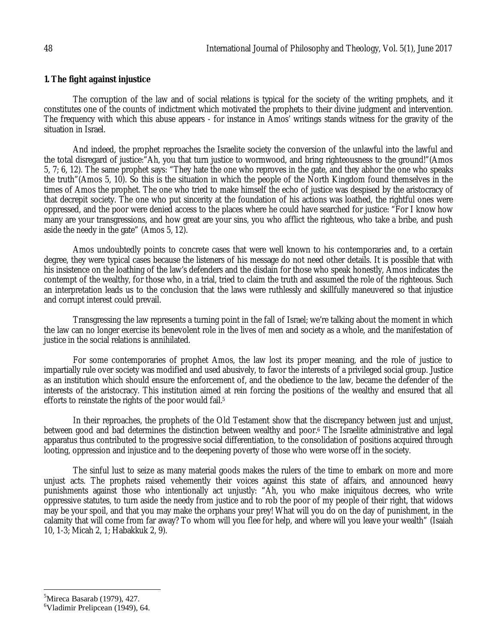#### **1. The fight against injustice**

The corruption of the law and of social relations is typical for the society of the writing prophets, and it constitutes one of the counts of indictment which motivated the prophets to their divine judgment and intervention. The frequency with which this abuse appears - for instance in Amos' writings stands witness for the gravity of the situation in Israel.

And indeed, the prophet reproaches the Israelite society the conversion of the unlawful into the lawful and the total disregard of justice:"Ah, you that turn justice to wormwood, and bring righteousness to the ground!"(Amos 5, 7; 6, 12). The same prophet says: "They hate the one who reproves in the gate, and they abhor the one who speaks the truth"(Amos 5, 10). So this is the situation in which the people of the North Kingdom found themselves in the times of Amos the prophet. The one who tried to make himself the echo of justice was despised by the aristocracy of that decrepit society. The one who put sincerity at the foundation of his actions was loathed, the rightful ones were oppressed, and the poor were denied access to the places where he could have searched for justice: "For I know how many are your transgressions, and how great are your sins, you who afflict the righteous, who take a bribe, and push aside the needy in the gate" (Amos 5, 12).

Amos undoubtedly points to concrete cases that were well known to his contemporaries and, to a certain degree, they were typical cases because the listeners of his message do not need other details. It is possible that with his insistence on the loathing of the law's defenders and the disdain for those who speak honestly, Amos indicates the contempt of the wealthy, for those who, in a trial, tried to claim the truth and assumed the role of the righteous. Such an interpretation leads us to the conclusion that the laws were ruthlessly and skillfully maneuvered so that injustice and corrupt interest could prevail.

Transgressing the law represents a turning point in the fall of Israel; we're talking about the moment in which the law can no longer exercise its benevolent role in the lives of men and society as a whole, and the manifestation of justice in the social relations is annihilated.

For some contemporaries of prophet Amos, the law lost its proper meaning, and the role of justice to impartially rule over society was modified and used abusively, to favor the interests of a privileged social group. Justice as an institution which should ensure the enforcement of, and the obedience to the law, became the defender of the interests of the aristocracy. This institution aimed at rein forcing the positions of the wealthy and ensured that all efforts to reinstate the rights of the poor would fail. 5

In their reproaches, the prophets of the Old Testament show that the discrepancy between just and unjust, between good and bad determines the distinction between wealthy and poor. <sup>6</sup> The Israelite administrative and legal apparatus thus contributed to the progressive social differentiation, to the consolidation of positions acquired through looting, oppression and injustice and to the deepening poverty of those who were worse off in the society.

The sinful lust to seize as many material goods makes the rulers of the time to embark on more and more unjust acts. The prophets raised vehemently their voices against this state of affairs, and announced heavy punishments against those who intentionally act unjustly: "Ah, you who make iniquitous decrees, who write oppressive statutes, to turn aside the needy from justice and to rob the poor of my people of their right, that widows may be your spoil, and that you may make the orphans your prey! What will you do on the day of punishment, in the calamity that will come from far away? To whom will you flee for help, and where will you leave your wealth" (Isaiah 10, 1-3; Micah 2, 1; Habakkuk 2, 9).

 $\overline{\phantom{a}}$  $5$ Mireca Basarab (1979), 427.

<sup>6</sup>Vladimir Prelipcean (1949), 64.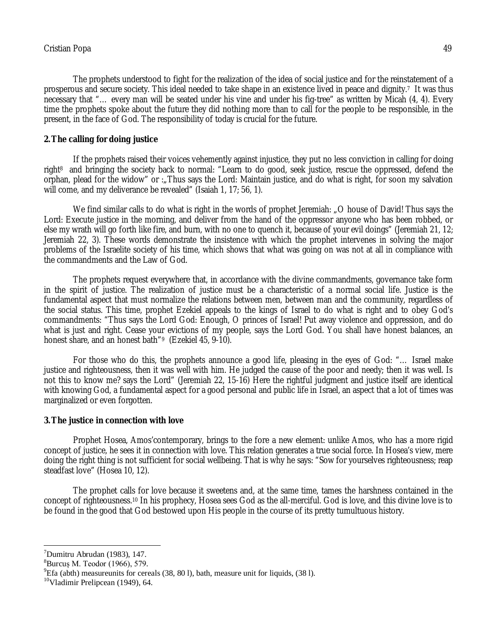The prophets understood to fight for the realization of the idea of social justice and for the reinstatement of a prosperous and secure society. This ideal needed to take shape in an existence lived in peace and dignity. <sup>7</sup> It was thus necessary that "… every man will be seated under his vine and under his fig-tree" as written by Micah (4, 4). Every time the prophets spoke about the future they did nothing more than to call for the people to be responsible, in the present, in the face of God. The responsibility of today is crucial for the future.

### **2.The calling for doing justice**

If the prophets raised their voices vehemently against injustice, they put no less conviction in calling for doing right<sup>8</sup> and bringing the society back to normal: "Learn to do good, seek justice, rescue the oppressed, defend the orphan, plead for the widow" or :"Thus says the Lord: Maintain justice, and do what is right, for soon my salvation will come, and my deliverance be revealed" (Isaiah 1, 17; 56, 1).

We find similar calls to do what is right in the words of prophet Jeremiah: "O house of David! Thus says the Lord: Execute justice in the morning, and deliver from the hand of the oppressor anyone who has been robbed, or else my wrath will go forth like fire, and burn, with no one to quench it, because of your evil doings" (Jeremiah 21, 12; Jeremiah 22, 3). These words demonstrate the insistence with which the prophet intervenes in solving the major problems of the Israelite society of his time, which shows that what was going on was not at all in compliance with the commandments and the Law of God.

The prophets request everywhere that, in accordance with the divine commandments, governance take form in the spirit of justice. The realization of justice must be a characteristic of a normal social life. Justice is the fundamental aspect that must normalize the relations between men, between man and the community, regardless of the social status. This time, prophet Ezekiel appeals to the kings of Israel to do what is right and to obey God's commandments: "Thus says the Lord God: Enough, O princes of Israel! Put away violence and oppression, and do what is just and right. Cease your evictions of my people, says the Lord God. You shall have honest balances, an honest share, and an honest bath"<sup>9</sup> (Ezekiel 45, 9-10).

For those who do this, the prophets announce a good life, pleasing in the eyes of God: "… Israel make justice and righteousness, then it was well with him. He judged the cause of the poor and needy; then it was well. Is not this to know me? says the Lord" (Jeremiah 22, 15-16) Here the rightful judgment and justice itself are identical with knowing God, a fundamental aspect for a good personal and public life in Israel, an aspect that a lot of times was marginalized or even forgotten.

#### **3.The justice in connection with love**

Prophet Hosea, Amos'contemporary, brings to the fore a new element: unlike Amos, who has a more rigid concept of justice, he sees it in connection with love. This relation generates a true social force. In Hosea's view, mere doing the right thing is not sufficient for social wellbeing. That is why he says: "Sow for yourselves righteousness; reap steadfast love" (Hosea 10, 12).

The prophet calls for love because it sweetens and, at the same time, tames the harshness contained in the concept of righteousness.<sup>10</sup> In his prophecy, Hosea sees God as the all-merciful. God is love, and this divine love is to be found in the good that God bestowed upon His people in the course of its pretty tumultuous history.

 $<sup>7</sup>Dumitru$  Abrudan (1983), 147.</sup>

 ${}^{8}$ Burcus M. Teodor (1966), 579.

 $^{9}$ Efa (abth) measureunits for cereals (38, 80 l), bath, measure unit for liquids, (38 l).

<sup>10</sup>Vladimir Prelipcean (1949), 64.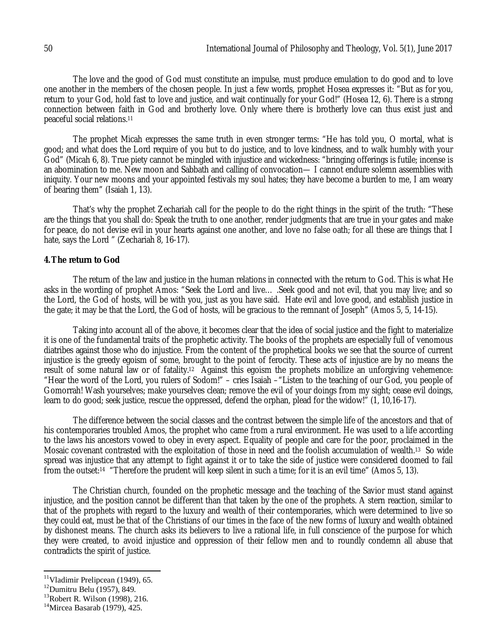The love and the good of God must constitute an impulse, must produce emulation to do good and to love one another in the members of the chosen people. In just a few words, prophet Hosea expresses it: "But as for you, return to your God, hold fast to love and justice, and wait continually for your God!" (Hosea 12, 6). There is a strong connection between faith in God and brotherly love. Only where there is brotherly love can thus exist just and peaceful social relations. 11

The prophet Micah expresses the same truth in even stronger terms: "He has told you, O mortal, what is good; and what does the Lord require of you but to do justice, and to love kindness, and to walk humbly with your God" (Micah 6, 8). True piety cannot be mingled with injustice and wickedness: "bringing offerings is futile; incense is an abomination to me. New moon and Sabbath and calling of convocation— I cannot endure solemn assemblies with iniquity. Your new moons and your appointed festivals my soul hates; they have become a burden to me, I am weary of bearing them" (Isaiah 1, 13).

That's why the prophet Zechariah call for the people to do the right things in the spirit of the truth: "These are the things that you shall do: Speak the truth to one another, render judgments that are true in your gates and make for peace, do not devise evil in your hearts against one another, and love no false oath; for all these are things that I hate, says the Lord " (Zechariah 8, 16-17).

#### **4.The return to God**

The return of the law and justice in the human relations in connected with the return to God. This is what He asks in the wording of prophet Amos: "Seek the Lord and live… .Seek good and not evil, that you may live; and so the Lord, the God of hosts, will be with you, just as you have said. Hate evil and love good, and establish justice in the gate; it may be that the Lord, the God of hosts, will be gracious to the remnant of Joseph" (Amos 5, 5, 14-15).

Taking into account all of the above, it becomes clear that the idea of social justice and the fight to materialize it is one of the fundamental traits of the prophetic activity. The books of the prophets are especially full of venomous diatribes against those who do injustice. From the content of the prophetical books we see that the source of current injustice is the greedy egoism of some, brought to the point of ferocity. These acts of injustice are by no means the result of some natural law or of fatality.<sup>12</sup> Against this egoism the prophets mobilize an unforgiving vehemence: "Hear the word of the Lord, you rulers of Sodom!" – cries Isaiah –"Listen to the teaching of our God, you people of Gomorrah! Wash yourselves; make yourselves clean; remove the evil of your doings from my sight; cease evil doings, learn to do good; seek justice, rescue the oppressed, defend the orphan, plead for the widow!" (1, 10,16-17).

The difference between the social classes and the contrast between the simple life of the ancestors and that of his contemporaries troubled Amos, the prophet who came from a rural environment. He was used to a life according to the laws his ancestors vowed to obey in every aspect. Equality of people and care for the poor, proclaimed in the Mosaic covenant contrasted with the exploitation of those in need and the foolish accumulation of wealth. <sup>13</sup> So wide spread was injustice that any attempt to fight against it or to take the side of justice were considered doomed to fail from the outset:14 "Therefore the prudent will keep silent in such a time; for it is an evil time" (Amos 5, 13).

The Christian church, founded on the prophetic message and the teaching of the Savior must stand against injustice, and the position cannot be different than that taken by the one of the prophets. A stern reaction, similar to that of the prophets with regard to the luxury and wealth of their contemporaries, which were determined to live so they could eat, must be that of the Christians of our times in the face of the new forms of luxury and wealth obtained by dishonest means. The church asks its believers to live a rational life, in full conscience of the purpose for which they were created, to avoid injustice and oppression of their fellow men and to roundly condemn all abuse that contradicts the spirit of justice.

<sup>&</sup>lt;sup>11</sup>Vladimir Prelipcean (1949), 65.

<sup>12</sup>Dumitru Belu (1957), 849.

<sup>&</sup>lt;sup>13</sup>Robert R. Wilson (1998), 216.

 $14$ Mircea Basarab (1979), 425.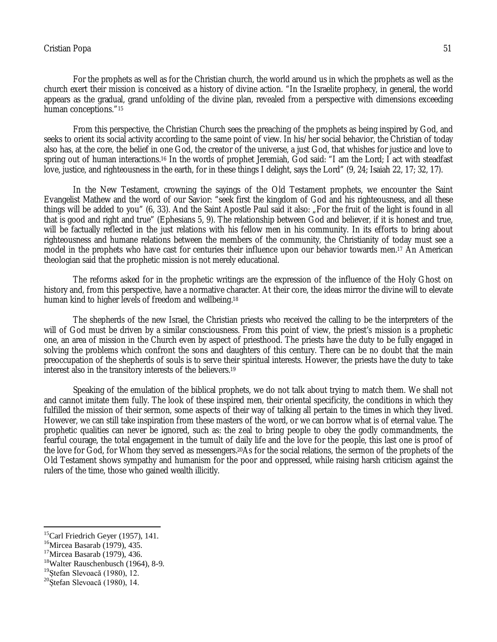### Cristian Popa 51

For the prophets as well as for the Christian church, the world around us in which the prophets as well as the church exert their mission is conceived as a history of divine action. "In the Israelite prophecy, in general, the world appears as the gradual, grand unfolding of the divine plan, revealed from a perspective with dimensions exceeding human conceptions."<sup>15</sup>

From this perspective, the Christian Church sees the preaching of the prophets as being inspired by God, and seeks to orient its social activity according to the same point of view. In his/her social behavior, the Christian of today also has, at the core, the belief in one God, the creator of the universe, a just God, that whishes for justice and love to spring out of human interactions.16 In the words of prophet Jeremiah, God said: "I am the Lord; I act with steadfast love, justice, and righteousness in the earth, for in these things I delight, says the Lord" (9, 24; Isaiah 22, 17; 32, 17).

In the New Testament, crowning the sayings of the Old Testament prophets, we encounter the Saint Evangelist Mathew and the word of our Savior: "seek first the kingdom of God and his righteousness, and all these things will be added to you" (6, 33). And the Saint Apostle Paul said it also: "For the fruit of the light is found in all that is good and right and true" (Ephesians 5, 9). The relationship between God and believer, if it is honest and true, will be factually reflected in the just relations with his fellow men in his community. In its efforts to bring about righteousness and humane relations between the members of the community, the Christianity of today must see a model in the prophets who have cast for centuries their influence upon our behavior towards men. <sup>17</sup> An American theologian said that the prophetic mission is not merely educational.

The reforms asked for in the prophetic writings are the expression of the influence of the Holy Ghost on history and, from this perspective, have a normative character. At their core, the ideas mirror the divine will to elevate human kind to higher levels of freedom and wellbeing. 18

The shepherds of the new Israel, the Christian priests who received the calling to be the interpreters of the will of God must be driven by a similar consciousness. From this point of view, the priest's mission is a prophetic one, an area of mission in the Church even by aspect of priesthood. The priests have the duty to be fully engaged in solving the problems which confront the sons and daughters of this century. There can be no doubt that the main preoccupation of the shepherds of souls is to serve their spiritual interests. However, the priests have the duty to take interest also in the transitory interests of the believers. 19

Speaking of the emulation of the biblical prophets, we do not talk about trying to match them. We shall not and cannot imitate them fully. The look of these inspired men, their oriental specificity, the conditions in which they fulfilled the mission of their sermon, some aspects of their way of talking all pertain to the times in which they lived. However, we can still take inspiration from these masters of the word, or we can borrow what is of eternal value. The prophetic qualities can never be ignored, such as: the zeal to bring people to obey the godly commandments, the fearful courage, the total engagement in the tumult of daily life and the love for the people, this last one is proof of the love for God, for Whom they served as messengers.<sup>20</sup>As for the social relations, the sermon of the prophets of the Old Testament shows sympathy and humanism for the poor and oppressed, while raising harsh criticism against the rulers of the time, those who gained wealth illicitly.

 $15$ Carl Friedrich Geyer (1957), 141.

<sup>16</sup>Mircea Basarab (1979), 435.

<sup>17</sup>Mircea Basarab (1979), 436.

<sup>&</sup>lt;sup>18</sup>Walter Rauschenbusch (1964), 8-9.

<sup>&</sup>lt;sup>19</sup>Stefan Slevoacă (1980), 12.

 $20$ Ștefan Slevoacă (1980), 14.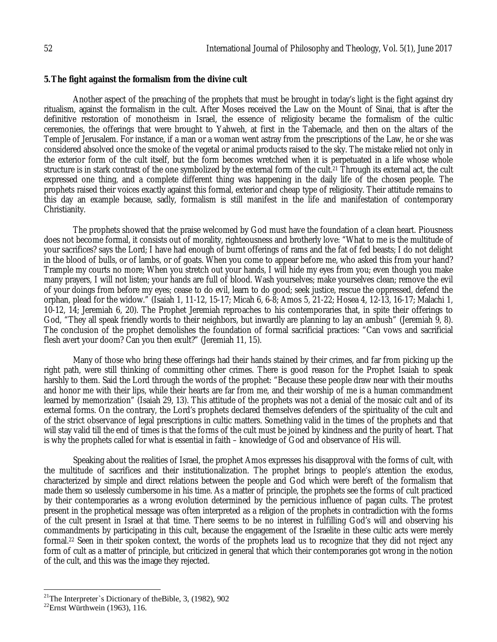#### **5.The fight against the formalism from the divine cult**

Another aspect of the preaching of the prophets that must be brought in today's light is the fight against dry ritualism, against the formalism in the cult. After Moses received the Law on the Mount of Sinai, that is after the definitive restoration of monotheism in Israel, the essence of religiosity became the formalism of the cultic ceremonies, the offerings that were brought to Yahweh, at first in the Tabernacle, and then on the altars of the Temple of Jerusalem. For instance, if a man or a woman went astray from the prescriptions of the Law, he or she was considered absolved once the smoke of the vegetal or animal products raised to the sky. The mistake relied not only in the exterior form of the cult itself, but the form becomes wretched when it is perpetuated in a life whose whole structure is in stark contrast of the one symbolized by the external form of the cult. <sup>21</sup> Through its external act, the cult expressed one thing, and a complete different thing was happening in the daily life of the chosen people. The prophets raised their voices exactly against this formal, exterior and cheap type of religiosity. Their attitude remains to this day an example because, sadly, formalism is still manifest in the life and manifestation of contemporary Christianity.

The prophets showed that the praise welcomed by God must have the foundation of a clean heart. Piousness does not become formal, it consists out of morality, righteousness and brotherly love: "What to me is the multitude of your sacrifices? says the Lord; I have had enough of burnt offerings of rams and the fat of fed beasts; I do not delight in the blood of bulls, or of lambs, or of goats. When you come to appear before me, who asked this from your hand? Trample my courts no more; When you stretch out your hands, I will hide my eyes from you; even though you make many prayers, I will not listen; your hands are full of blood. Wash yourselves; make yourselves clean; remove the evil of your doings from before my eyes; cease to do evil, learn to do good; seek justice, rescue the oppressed, defend the orphan, plead for the widow." (Isaiah 1, 11-12, 15-17; Micah 6, 6-8; Amos 5, 21-22; Hosea 4, 12-13, 16-17; Malachi 1, 10-12, 14; Jeremiah 6, 20). The Prophet Jeremiah reproaches to his contemporaries that, in spite their offerings to God, "They all speak friendly words to their neighbors, but inwardly are planning to lay an ambush" (Jeremiah 9, 8). The conclusion of the prophet demolishes the foundation of formal sacrificial practices: "Can vows and sacrificial flesh avert your doom? Can you then exult?" (Jeremiah 11, 15).

Many of those who bring these offerings had their hands stained by their crimes, and far from picking up the right path, were still thinking of committing other crimes. There is good reason for the Prophet Isaiah to speak harshly to them. Said the Lord through the words of the prophet: "Because these people draw near with their mouths and honor me with their lips, while their hearts are far from me, and their worship of me is a human commandment learned by memorization" (Isaiah 29, 13). This attitude of the prophets was not a denial of the mosaic cult and of its external forms. On the contrary, the Lord's prophets declared themselves defenders of the spirituality of the cult and of the strict observance of legal prescriptions in cultic matters. Something valid in the times of the prophets and that will stay valid till the end of times is that the forms of the cult must be joined by kindness and the purity of heart. That is why the prophets called for what is essential in faith – knowledge of God and observance of His will.

Speaking about the realities of Israel, the prophet Amos expresses his disapproval with the forms of cult, with the multitude of sacrifices and their institutionalization. The prophet brings to people's attention the exodus, characterized by simple and direct relations between the people and God which were bereft of the formalism that made them so uselessly cumbersome in his time. As a matter of principle, the prophets see the forms of cult practiced by their contemporaries as a wrong evolution determined by the pernicious influence of pagan cults. The protest present in the prophetical message was often interpreted as a religion of the prophets in contradiction with the forms of the cult present in Israel at that time. There seems to be no interest in fulfilling God's will and observing his commandments by participating in this cult, because the engagement of the Israelite in these cultic acts were merely formal. <sup>22</sup> Seen in their spoken context, the words of the prophets lead us to recognize that they did not reject any form of cult as a matter of principle, but criticized in general that which their contemporaries got wrong in the notion of the cult, and this was the image they rejected.

 $\overline{\phantom{a}}$ 

<sup>&</sup>lt;sup>21</sup>The Interpreter`s Dictionary of the Bible, 3,  $(1982)$ ,  $902$ 

 $^{22}$ Ernst Würthwein (1963), 116.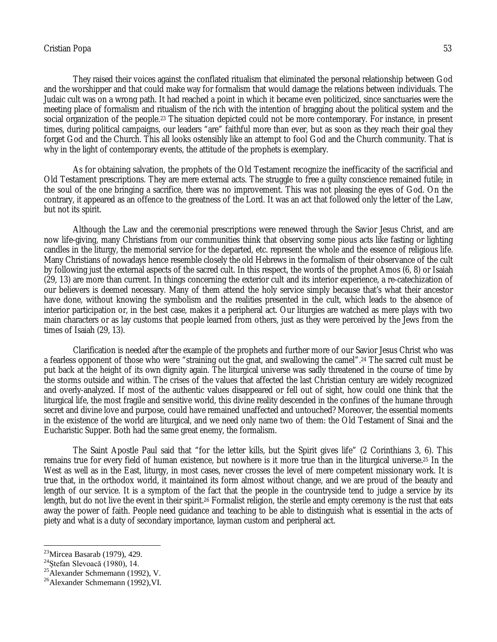### Cristian Popa 53

They raised their voices against the conflated ritualism that eliminated the personal relationship between God and the worshipper and that could make way for formalism that would damage the relations between individuals. The Judaic cult was on a wrong path. It had reached a point in which it became even politicized, since sanctuaries were the meeting place of formalism and ritualism of the rich with the intention of bragging about the political system and the social organization of the people.<sup>23</sup> The situation depicted could not be more contemporary. For instance, in present times, during political campaigns, our leaders "are" faithful more than ever, but as soon as they reach their goal they forget God and the Church. This all looks ostensibly like an attempt to fool God and the Church community. That is why in the light of contemporary events, the attitude of the prophets is exemplary.

As for obtaining salvation, the prophets of the Old Testament recognize the inefficacity of the sacrificial and Old Testament prescriptions. They are mere external acts. The struggle to free a guilty conscience remained futile; in the soul of the one bringing a sacrifice, there was no improvement. This was not pleasing the eyes of God. On the contrary, it appeared as an offence to the greatness of the Lord. It was an act that followed only the letter of the Law, but not its spirit.

Although the Law and the ceremonial prescriptions were renewed through the Savior Jesus Christ, and are now life-giving, many Christians from our communities think that observing some pious acts like fasting or lighting candles in the liturgy, the memorial service for the departed, etc. represent the whole and the essence of religious life. Many Christians of nowadays hence resemble closely the old Hebrews in the formalism of their observance of the cult by following just the external aspects of the sacred cult. In this respect, the words of the prophet Amos (6, 8) or Isaiah (29, 13) are more than current. In things concerning the exterior cult and its interior experience, a re-catechization of our believers is deemed necessary. Many of them attend the holy service simply because that's what their ancestor have done, without knowing the symbolism and the realities presented in the cult, which leads to the absence of interior participation or, in the best case, makes it a peripheral act. Our liturgies are watched as mere plays with two main characters or as lay customs that people learned from others, just as they were perceived by the Jews from the times of Isaiah (29, 13).

Clarification is needed after the example of the prophets and further more of our Savior Jesus Christ who was a fearless opponent of those who were "straining out the gnat, and swallowing the camel". <sup>24</sup> The sacred cult must be put back at the height of its own dignity again. The liturgical universe was sadly threatened in the course of time by the storms outside and within. The crises of the values that affected the last Christian century are widely recognized and overly-analyzed. If most of the authentic values disappeared or fell out of sight, how could one think that the liturgical life, the most fragile and sensitive world, this divine reality descended in the confines of the humane through secret and divine love and purpose, could have remained unaffected and untouched? Moreover, the essential moments in the existence of the world are liturgical, and we need only name two of them: the Old Testament of Sinai and the Eucharistic Supper. Both had the same great enemy, the formalism.

The Saint Apostle Paul said that "for the letter kills, but the Spirit gives life" (2 Corinthians 3, 6). This remains true for every field of human existence, but nowhere is it more true than in the liturgical universe. <sup>25</sup> In the West as well as in the East, liturgy, in most cases, never crosses the level of mere competent missionary work. It is true that, in the orthodox world, it maintained its form almost without change, and we are proud of the beauty and length of our service. It is a symptom of the fact that the people in the countryside tend to judge a service by its length, but do not live the event in their spirit.26 Formalist religion, the sterile and empty ceremony is the rust that eats away the power of faith. People need guidance and teaching to be able to distinguish what is essential in the acts of piety and what is a duty of secondary importance, layman custom and peripheral act.

<sup>&</sup>lt;sup>23</sup>Mircea Basarab (1979), 429.

<sup>24</sup>Ștefan Slevoacă (1980), 14.

<sup>25</sup>Alexander Schmemann (1992), V.

<sup>26</sup>Alexander Schmemann (1992),VI.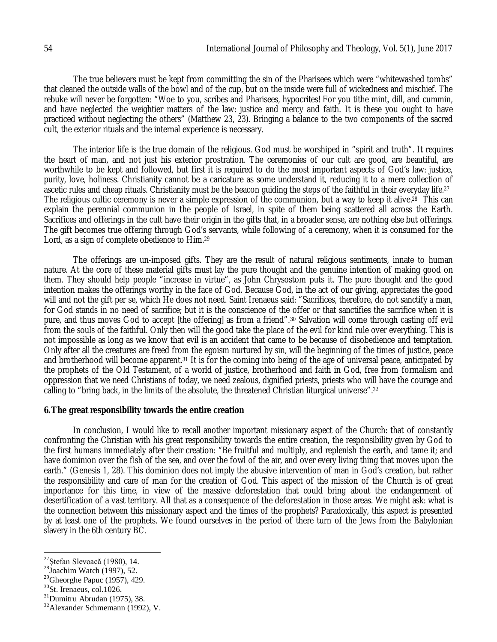The true believers must be kept from committing the sin of the Pharisees which were "whitewashed tombs" that cleaned the outside walls of the bowl and of the cup, but on the inside were full of wickedness and mischief. The rebuke will never be forgotten: "Woe to you, scribes and Pharisees, hypocrites! For you tithe mint, dill, and cummin, and have neglected the weightier matters of the law: justice and mercy and faith. It is these you ought to have practiced without neglecting the others" (Matthew 23, 23). Bringing a balance to the two components of the sacred cult, the exterior rituals and the internal experience is necessary.

The interior life is the true domain of the religious. God must be worshiped in "spirit and truth". It requires the heart of man, and not just his exterior prostration. The ceremonies of our cult are good, are beautiful, are worthwhile to be kept and followed, but first it is required to do the most important aspects of God's law: justice, purity, love, holiness. Christianity cannot be a caricature as some understand it, reducing it to a mere collection of ascetic rules and cheap rituals. Christianity must be the beacon guiding the steps of the faithful in their everyday life. 27 The religious cultic ceremony is never a simple expression of the communion, but a way to keep it alive.28 This can explain the perennial communion in the people of Israel, in spite of them being scattered all across the Earth. Sacrifices and offerings in the cult have their origin in the gifts that, in a broader sense, are nothing else but offerings. The gift becomes true offering through God's servants, while following of a ceremony, when it is consumed for the Lord, as a sign of complete obedience to Him. 29

The offerings are un-imposed gifts. They are the result of natural religious sentiments, innate to human nature. At the core of these material gifts must lay the pure thought and the genuine intention of making good on them. They should help people "increase in virtue", as John Chrysostom puts it. The pure thought and the good intention makes the offerings worthy in the face of God. Because God, in the act of our giving, appreciates the good will and not the gift per se, which He does not need. Saint Irenaeus said: "Sacrifices, therefore, do not sanctify a man, for God stands in no need of sacrifice; but it is the conscience of the offer or that sanctifies the sacrifice when it is pure, and thus moves God to accept [the offering] as from a friend".<sup>30</sup> Salvation will come through casting off evil from the souls of the faithful. Only then will the good take the place of the evil for kind rule over everything. This is not impossible as long as we know that evil is an accident that came to be because of disobedience and temptation. Only after all the creatures are freed from the egoism nurtured by sin, will the beginning of the times of justice, peace and brotherhood will become apparent.<sup>31</sup> It is for the coming into being of the age of universal peace, anticipated by the prophets of the Old Testament, of a world of justice, brotherhood and faith in God, free from formalism and oppression that we need Christians of today, we need zealous, dignified priests, priests who will have the courage and calling to "bring back, in the limits of the absolute, the threatened Christian liturgical universe". 32

#### **6.The great responsibility towards the entire creation**

In conclusion, I would like to recall another important missionary aspect of the Church: that of constantly confronting the Christian with his great responsibility towards the entire creation, the responsibility given by God to the first humans immediately after their creation: "Be fruitful and multiply, and replenish the earth, and tame it; and have dominion over the fish of the sea, and over the fowl of the air, and over every living thing that moves upon the earth." (Genesis 1, 28). This dominion does not imply the abusive intervention of man in God's creation, but rather the responsibility and care of man for the creation of God. This aspect of the mission of the Church is of great importance for this time, in view of the massive deforestation that could bring about the endangerment of desertification of a vast territory. All that as a consequence of the deforestation in those areas. We might ask: what is the connection between this missionary aspect and the times of the prophets? Paradoxically, this aspect is presented by at least one of the prophets. We found ourselves in the period of there turn of the Jews from the Babylonian slavery in the 6th century BC.

<sup>27</sup>Ștefan Slevoacă (1980), 14.

 $28$ Joachim Watch (1997), 52.

 $29$ Gheorghe Papuc (1957), 429.

 $30$ St. Irenaeus, col.1026.

 $31$ Dumitru Abrudan (1975), 38.

 $32$ Alexander Schmemann (1992), V.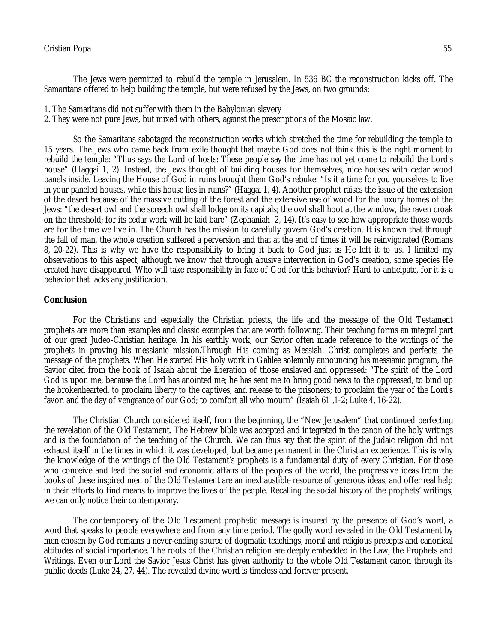### Cristian Popa 55

The Jews were permitted to rebuild the temple in Jerusalem. In 536 BC the reconstruction kicks off. The Samaritans offered to help building the temple, but were refused by the Jews, on two grounds:

- 1. The Samaritans did not suffer with them in the Babylonian slavery
- 2. They were not pure Jews, but mixed with others, against the prescriptions of the Mosaic law.

So the Samaritans sabotaged the reconstruction works which stretched the time for rebuilding the temple to 15 years. The Jews who came back from exile thought that maybe God does not think this is the right moment to rebuild the temple: "Thus says the Lord of hosts: These people say the time has not yet come to rebuild the Lord's house" (Haggai 1, 2). Instead, the Jews thought of building houses for themselves, nice houses with cedar wood panels inside. Leaving the House of God in ruins brought them God's rebuke: "Is it a time for you yourselves to live in your paneled houses, while this house lies in ruins?" (Haggai 1, 4). Another prophet raises the issue of the extension of the desert because of the massive cutting of the forest and the extensive use of wood for the luxury homes of the Jews: "the desert owl and the screech owl shall lodge on its capitals; the owl shall hoot at the window, the raven croak on the threshold; for its cedar work will be laid bare" (Zephaniah 2, 14). It's easy to see how appropriate those words are for the time we live in. The Church has the mission to carefully govern God's creation. It is known that through the fall of man, the whole creation suffered a perversion and that at the end of times it will be reinvigorated (Romans 8, 20-22). This is why we have the responsibility to bring it back to God just as He left it to us. I limited my observations to this aspect, although we know that through abusive intervention in God's creation, some species He created have disappeared. Who will take responsibility in face of God for this behavior? Hard to anticipate, for it is a behavior that lacks any justification.

#### **Conclusion**

For the Christians and especially the Christian priests, the life and the message of the Old Testament prophets are more than examples and classic examples that are worth following. Their teaching forms an integral part of our great Judeo-Christian heritage. In his earthly work, our Savior often made reference to the writings of the prophets in proving his messianic mission.Through His coming as Messiah, Christ completes and perfects the message of the prophets. When He started His holy work in Galilee solemnly announcing his messianic program, the Savior cited from the book of Isaiah about the liberation of those enslaved and oppressed: "The spirit of the Lord God is upon me, because the Lord has anointed me; he has sent me to bring good news to the oppressed, to bind up the brokenhearted, to proclaim liberty to the captives, and release to the prisoners; to proclaim the year of the Lord's favor, and the day of vengeance of our God; to comfort all who mourn" (Isaiah 61 ,1-2; Luke 4, 16-22).

The Christian Church considered itself, from the beginning, the "New Jerusalem" that continued perfecting the revelation of the Old Testament. The Hebrew bible was accepted and integrated in the canon of the holy writings and is the foundation of the teaching of the Church. We can thus say that the spirit of the Judaic religion did not exhaust itself in the times in which it was developed, but became permanent in the Christian experience. This is why the knowledge of the writings of the Old Testament's prophets is a fundamental duty of every Christian. For those who conceive and lead the social and economic affairs of the peoples of the world, the progressive ideas from the books of these inspired men of the Old Testament are an inexhaustible resource of generous ideas, and offer real help in their efforts to find means to improve the lives of the people. Recalling the social history of the prophets' writings, we can only notice their contemporary.

The contemporary of the Old Testament prophetic message is insured by the presence of God's word, a word that speaks to people everywhere and from any time period. The godly word revealed in the Old Testament by men chosen by God remains a never-ending source of dogmatic teachings, moral and religious precepts and canonical attitudes of social importance. The roots of the Christian religion are deeply embedded in the Law, the Prophets and Writings. Even our Lord the Savior Jesus Christ has given authority to the whole Old Testament canon through its public deeds (Luke 24, 27, 44). The revealed divine word is timeless and forever present.